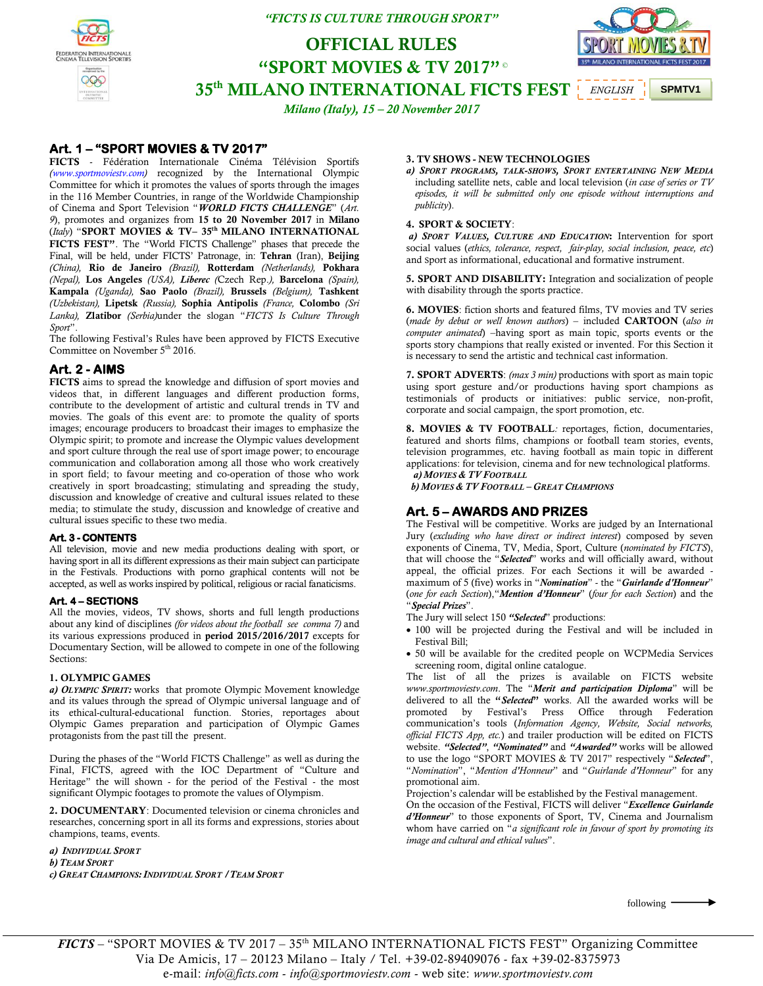### *"FICTS IS CULTURE THROUGH SPORT"*

# **OFFICIAL RULES "SPORT MOVIES & TV 2017"** © **35th MILANO INTERNATIONAL FICTS FEST** *ENGLISH*

*Milano (Italy), 15 – 20 November 2017*

# **Art. 1 – "SPORT MOVIES & TV 2017"**

**FICTS** - Fédération Internationale Cinéma Télévision Sportifs *[\(www.sportmoviestv.com\)](http://www.sportmoviestv.com/)* recognized by the International Olympic Committee for which it promotes the values of sports through the images in the 116 Member Countries, in range of the Worldwide Championship of Cinema and Sport Television "*WORLD FICTS CHALLENGE*" (*Art. 9*), promotes and organizes from **15 to 20 November 2017** in **Milano** (*Italy*) "**SPORT MOVIES & TV– 35 th MILANO INTERNATIONAL FICTS FEST"**. The "World FICTS Challenge" phases that precede the Final, will be held, under FICTS' Patronage, in: **Tehran** (Iran), **Beijing** *(China),* **Rio de Janeiro** *(Brazil),* **Rotterdam** *(Netherlands),* **Pokhara** *(Nepal),* **Los Angeles** *(USA), Liberec (*Czech Rep.*),* **Barcelona** *(Spain),* **Kampala** *(Uganda),* **Sao Paolo** *(Brazil),* **Brussels** *(Belgium),* **Tashkent** *(Uzbekistan),* **Lipetsk** *(Russia),* **Sophia Antipolis** *(France,* **Colombo** *(Sri Lanka),* **Zlatibor** *(Serbia)*under the slogan "*FICTS Is Culture Through Sport*".

The following Festival's Rules have been approved by FICTS Executive Committee on November 5<sup>th</sup> 2016.

### **Art. 2 - AIMS**

**FICTS** aims to spread the knowledge and diffusion of sport movies and videos that, in different languages and different production forms, contribute to the development of artistic and cultural trends in TV and movies. The goals of this event are: to promote the quality of sports images; encourage producers to broadcast their images to emphasize the Olympic spirit; to promote and increase the Olympic values development and sport culture through the real use of sport image power; to encourage communication and collaboration among all those who work creatively in sport field; to favour meeting and co-operation of those who work creatively in sport broadcasting; stimulating and spreading the study, discussion and knowledge of creative and cultural issues related to these media; to stimulate the study, discussion and knowledge of creative and cultural issues specific to these two media.

### **Art. 3 - CONTENTS**

All television, movie and new media productions dealing with sport, or having sport in all its different expressions as their main subject can participate in the Festivals. Productions with porno graphical contents will not be accepted, as well as works inspired by political, religious or racial fanaticisms.

#### **Art. 4 – SECTIONS**

All the movies, videos, TV shows, shorts and full length productions about any kind of disciplines *(for videos about the football see comma 7)* and its various expressions produced in **period 2015/2016/2017** excepts for Documentary Section, will be allowed to compete in one of the following Sections:

#### **1. OLYMPIC GAMES**

*a) OLYMPIC SPIRIT:* works that promote Olympic Movement knowledge and its values through the spread of Olympic universal language and of its ethical-cultural-educational function. Stories, reportages about Olympic Games preparation and participation of Olympic Games protagonists from the past till the present.

During the phases of the "World FICTS Challenge" as well as during the Final, FICTS, agreed with the IOC Department of "Culture and Heritage" the will shown - for the period of the Festival - the most significant Olympic footages to promote the values of Olympism.

**2. DOCUMENTARY**: Documented television or cinema chronicles and researches, concerning sport in all its forms and expressions, stories about champions, teams, events.

*a) INDIVIDUAL SPORT b) TEAM SPORT c) GREAT CHAMPIONS: INDIVIDUAL SPORT /TEAM SPORT*

#### **3. TV SHOWS - NEW TECHNOLOGIES**

*a) SPORT PROGRAMS, TALK-SHOWS, SPORT ENTERTAINING NEW MEDIA* including satellite nets, cable and local television (*in case of series or TV episodes, it will be submitted only one episode without interruptions and publicity*).

**SPMTV1**

#### **4. SPORT & SOCIETY**:

*a) SPORT VALUES, CULTURE AND EDUCATION***:** Intervention for sport social values (*ethics, tolerance, respect, fair-play, social inclusion, peace, etc*) and Sport as informational, educational and formative instrument.

**5. SPORT AND DISABILITY:** Integration and socialization of people with disability through the sports practice.

**6. MOVIES**: fiction shorts and featured films, TV movies and TV series (*made by debut or well known authors*) – included **CARTOON** (*also in computer animated*) –having sport as main topic, sports events or the sports story champions that really existed or invented. For this Section it is necessary to send the artistic and technical cast information.

**7. SPORT ADVERTS**: *(max 3 min)* productions with sport as main topic using sport gesture and/or productions having sport champions as testimonials of products or initiatives: public service, non-profit, corporate and social campaign, the sport promotion, etc.

**8. MOVIES & TV FOOTBALL***:* reportages, fiction, documentaries, featured and shorts films, champions or football team stories, events, television programmes, etc. having football as main topic in different applications: for television, cinema and for new technological platforms.  *a) MOVIES & TV FOOTBALL*

 *b) MOVIES & TV FOOTBALL – GREAT CHAMPIONS*

# **Art. 5 – AWARDS AND PRIZES**

The Festival will be competitive. Works are judged by an International Jury (*excluding who have direct or indirect interest*) composed by seven exponents of Cinema, TV, Media, Sport, Culture (*nominated by FICTS*), that will choose the "*Selected*" works and will officially award, without appeal, the official prizes. For each Sections it will be awarded maximum of 5 (five) works in "*Nomination*" - the "*Guirlande d'Honneur*" (*one for each Section*),"*Mention d'Honneur*" (*four for each Section*) and the "*Special Prizes*".

The Jury will select 150 *"Selected*" productions:

- 100 will be projected during the Festival and will be included in Festival Bill;
- 50 will be available for the credited people on WCPMedia Services screening room, digital online catalogue.

The list of all the prizes is available on FICTS website *[www.sportmoviestv.com](http://www.sportmoviestv.com/)*. The "*Merit and participation Diploma*" will be delivered to all the **"***Selected***"** works. All the awarded works will be promoted by Festival's Press Office through Federation communication's tools (*Information Agency, Website, Social networks, official FICTS App, etc.*) and trailer production will be edited on FICTS website. *"Selected"*, *"Nominated"* and *"Awarded"* works will be allowed to use the logo "SPORT MOVIES & TV 2017" respectively "*Selected*", "*Nomination*", "*Mention d'Honneur*" and "*Guirlande d'Honneur*" for any promotional aim.

Projection's calendar will be established by the Festival management.

On the occasion of the Festival, FICTS will deliver "*Excellence Guirlande d'Honneur*" to those exponents of Sport, TV, Cinema and Journalism whom have carried on "*a significant role in favour of sport by promoting its image and cultural and ethical values*".

following

*FICTS* – "SPORT MOVIES & TV 2017 – 35<sup>th</sup> MILANO INTERNATIONAL FICTS FEST" Organizing Committee Via De Amicis, 17 – 20123 Milano – Italy / Tel. +39-02-89409076 - fax +39-02-8375973 e-mail: *info@ficts.com* - *info@sportmoviestv.com* - web site: *www.sportmoviestv.com*